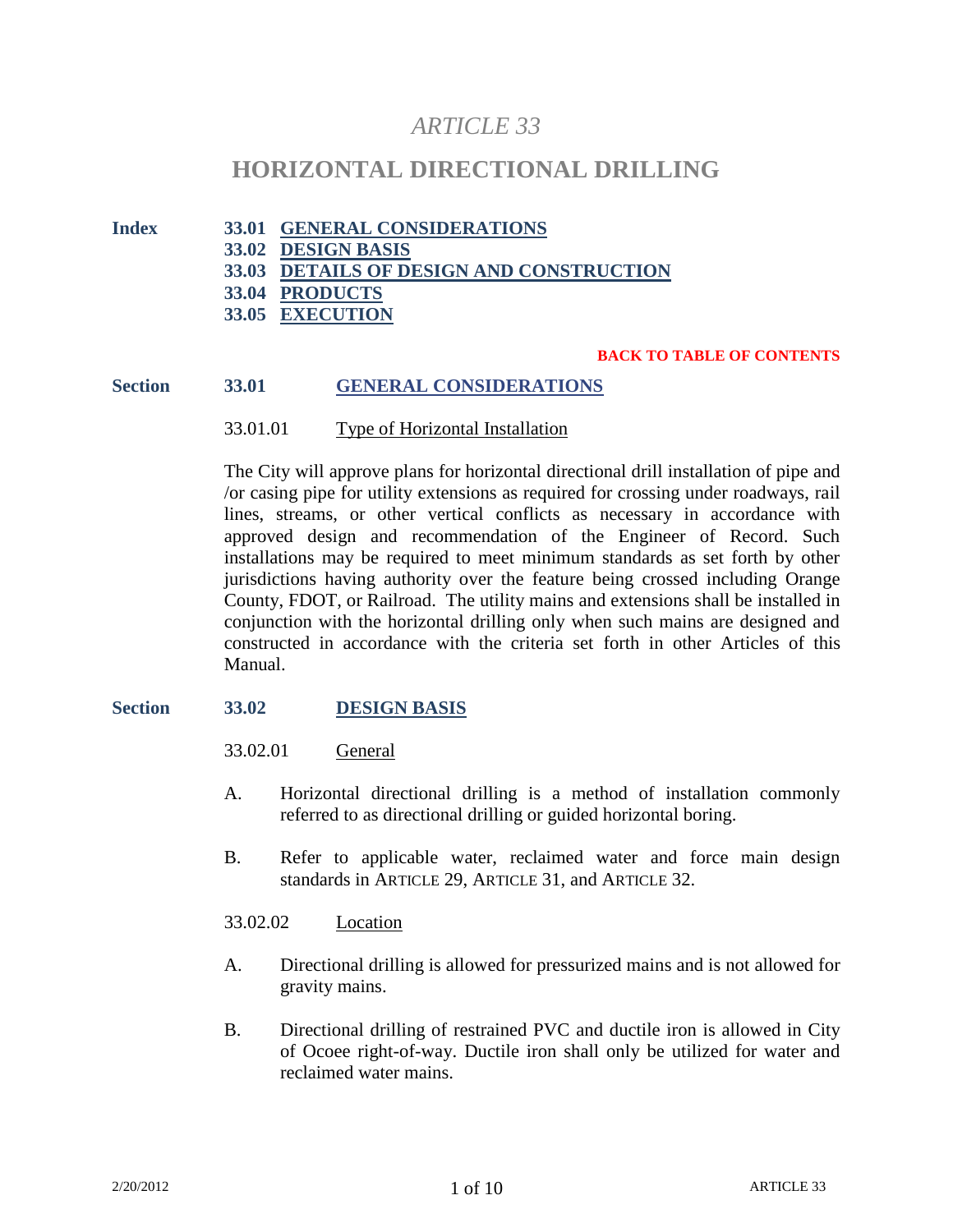# *ARTICLE 33*

# **HORIZONTAL DIRECTIONAL DRILLING**

**Index 33.01 GENERAL CONSIDERATIONS 33.02 DESIGN BASIS 33.03 DETAILS OF DESIGN AND CONSTRUCTION 33.04 PRODUCTS 33.05 EXECUTION**

#### **BACK TO TABLE OF CONTENTS**

## **Section 33.01 GENERAL CONSIDERATIONS**

#### 33.01.01 Type of Horizontal Installation

The City will approve plans for horizontal directional drill installation of pipe and /or casing pipe for utility extensions as required for crossing under roadways, rail lines, streams, or other vertical conflicts as necessary in accordance with approved design and recommendation of the Engineer of Record. Such installations may be required to meet minimum standards as set forth by other jurisdictions having authority over the feature being crossed including Orange County, FDOT, or Railroad. The utility mains and extensions shall be installed in conjunction with the horizontal drilling only when such mains are designed and constructed in accordance with the criteria set forth in other Articles of this Manual.

#### **Section 33.02 DESIGN BASIS**

33.02.01 General

- A. Horizontal directional drilling is a method of installation commonly referred to as directional drilling or guided horizontal boring.
- B. Refer to applicable water, reclaimed water and force main design standards in ARTICLE 29, ARTICLE 31, and ARTICLE 32.

#### 33.02.02 Location

- A. Directional drilling is allowed for pressurized mains and is not allowed for gravity mains.
- B. Directional drilling of restrained PVC and ductile iron is allowed in City of Ocoee right-of-way. Ductile iron shall only be utilized for water and reclaimed water mains.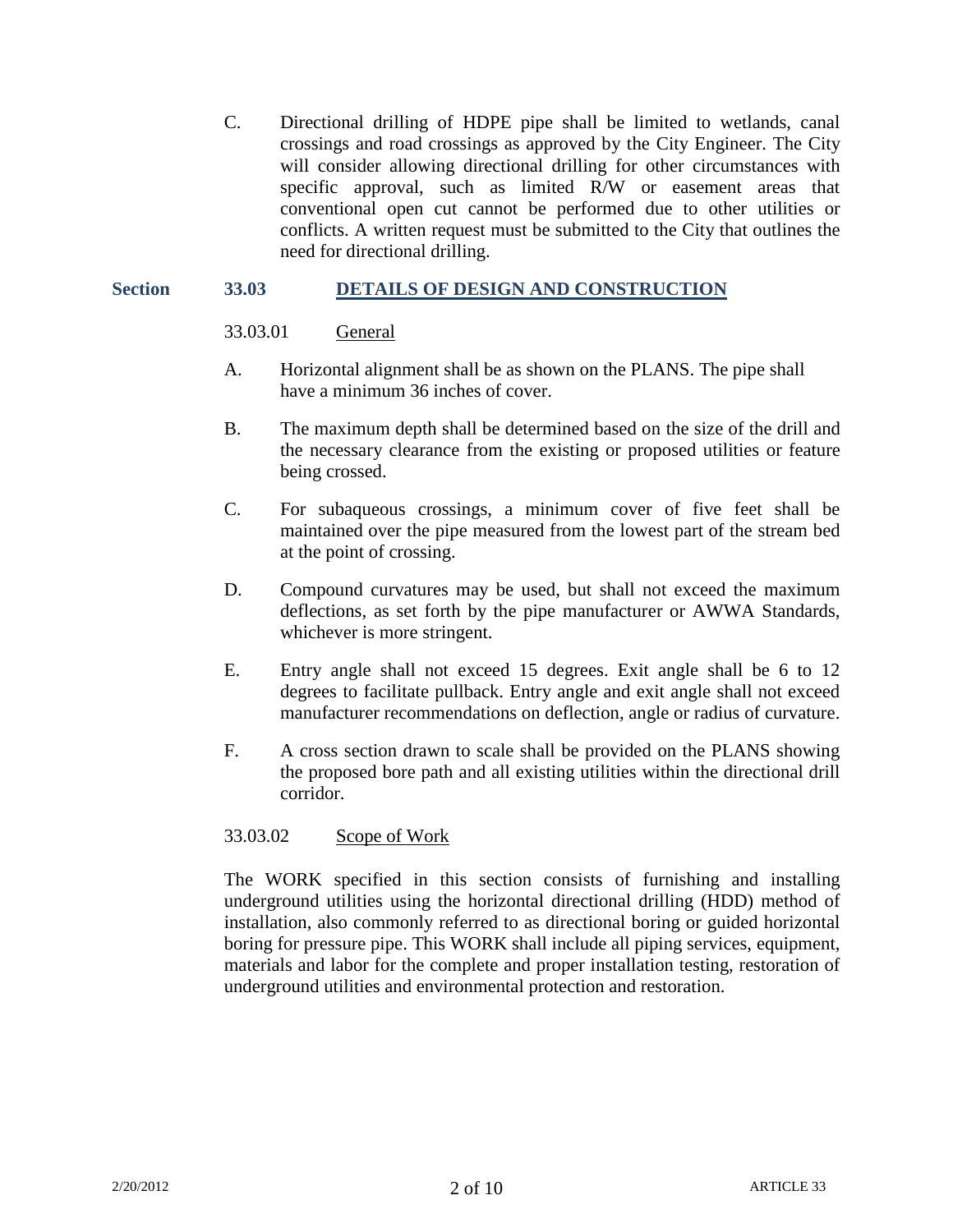C. Directional drilling of HDPE pipe shall be limited to wetlands, canal crossings and road crossings as approved by the City Engineer. The City will consider allowing directional drilling for other circumstances with specific approval, such as limited R/W or easement areas that conventional open cut cannot be performed due to other utilities or conflicts. A written request must be submitted to the City that outlines the need for directional drilling.

#### **Section 33.03 DETAILS OF DESIGN AND CONSTRUCTION**

#### 33.03.01 General

- A. Horizontal alignment shall be as shown on the PLANS. The pipe shall have a minimum 36 inches of cover.
- B. The maximum depth shall be determined based on the size of the drill and the necessary clearance from the existing or proposed utilities or feature being crossed.
- C. For subaqueous crossings, a minimum cover of five feet shall be maintained over the pipe measured from the lowest part of the stream bed at the point of crossing.
- D. Compound curvatures may be used, but shall not exceed the maximum deflections, as set forth by the pipe manufacturer or AWWA Standards, whichever is more stringent.
- E. Entry angle shall not exceed 15 degrees. Exit angle shall be 6 to 12 degrees to facilitate pullback. Entry angle and exit angle shall not exceed manufacturer recommendations on deflection, angle or radius of curvature.
- F. A cross section drawn to scale shall be provided on the PLANS showing the proposed bore path and all existing utilities within the directional drill corridor.

#### 33.03.02 Scope of Work

The WORK specified in this section consists of furnishing and installing underground utilities using the horizontal directional drilling (HDD) method of installation, also commonly referred to as directional boring or guided horizontal boring for pressure pipe. This WORK shall include all piping services, equipment, materials and labor for the complete and proper installation testing, restoration of underground utilities and environmental protection and restoration.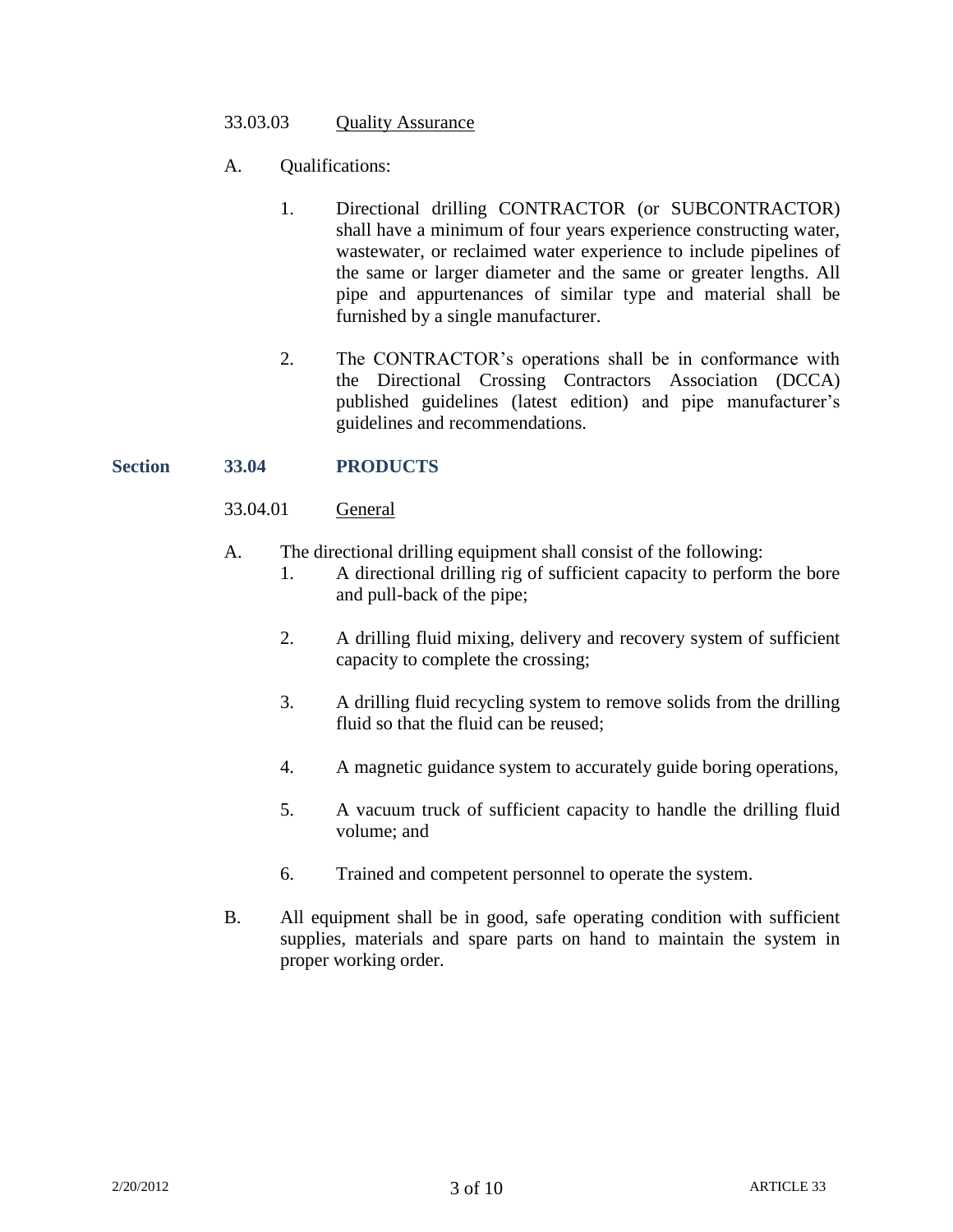### 33.03.03 Quality Assurance

- A. Qualifications:
	- 1. Directional drilling CONTRACTOR (or SUBCONTRACTOR) shall have a minimum of four years experience constructing water, wastewater, or reclaimed water experience to include pipelines of the same or larger diameter and the same or greater lengths. All pipe and appurtenances of similar type and material shall be furnished by a single manufacturer.
	- 2. The CONTRACTOR's operations shall be in conformance with the Directional Crossing Contractors Association (DCCA) published guidelines (latest edition) and pipe manufacturer's guidelines and recommendations.

# **Section 33.04 PRODUCTS**

# 33.04.01 General

- A. The directional drilling equipment shall consist of the following:
	- 1. A directional drilling rig of sufficient capacity to perform the bore and pull-back of the pipe;
		- 2. A drilling fluid mixing, delivery and recovery system of sufficient capacity to complete the crossing;
		- 3. A drilling fluid recycling system to remove solids from the drilling fluid so that the fluid can be reused;
		- 4. A magnetic guidance system to accurately guide boring operations,
		- 5. A vacuum truck of sufficient capacity to handle the drilling fluid volume; and
		- 6. Trained and competent personnel to operate the system.
- B. All equipment shall be in good, safe operating condition with sufficient supplies, materials and spare parts on hand to maintain the system in proper working order.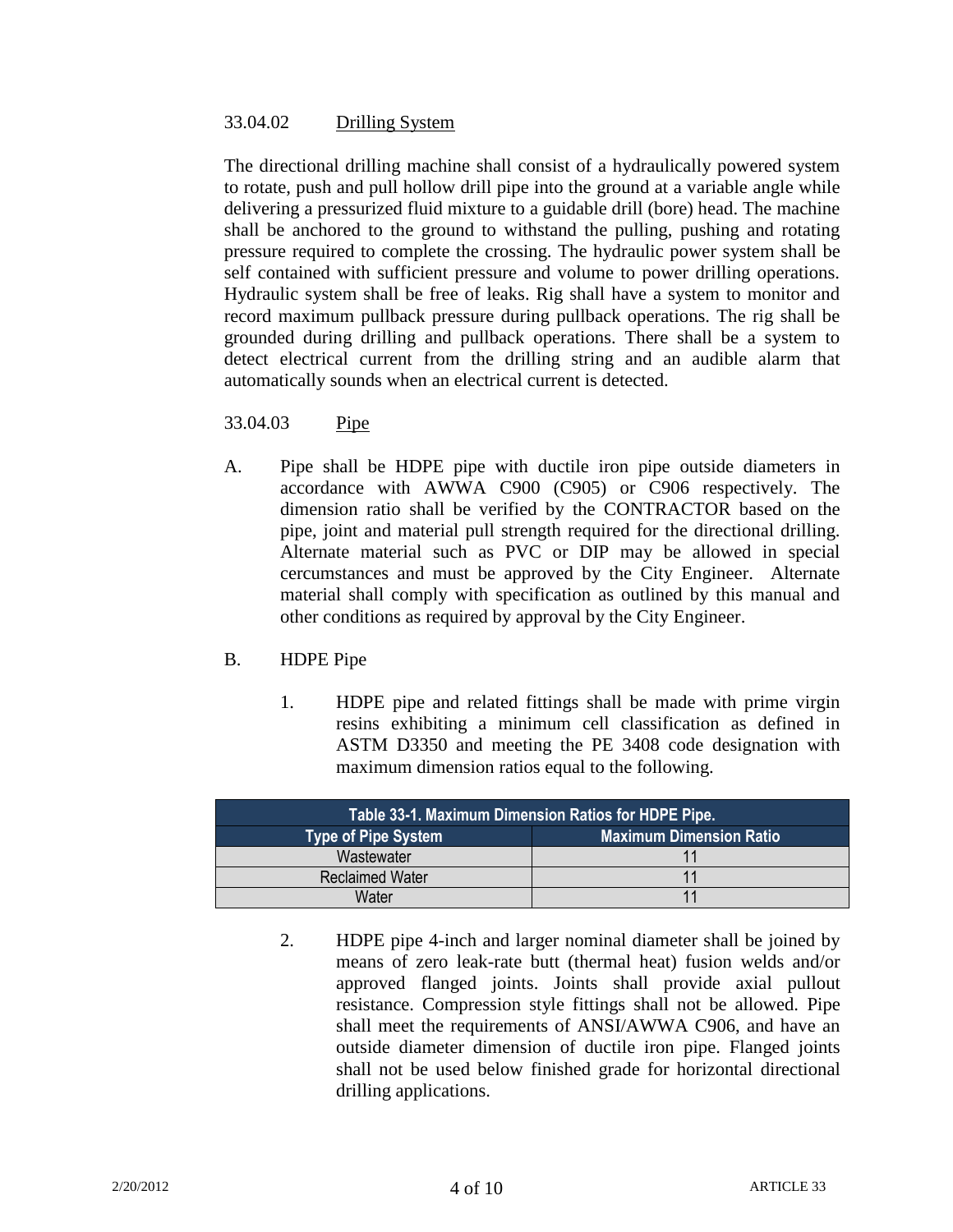# 33.04.02 Drilling System

The directional drilling machine shall consist of a hydraulically powered system to rotate, push and pull hollow drill pipe into the ground at a variable angle while delivering a pressurized fluid mixture to a guidable drill (bore) head. The machine shall be anchored to the ground to withstand the pulling, pushing and rotating pressure required to complete the crossing. The hydraulic power system shall be self contained with sufficient pressure and volume to power drilling operations. Hydraulic system shall be free of leaks. Rig shall have a system to monitor and record maximum pullback pressure during pullback operations. The rig shall be grounded during drilling and pullback operations. There shall be a system to detect electrical current from the drilling string and an audible alarm that automatically sounds when an electrical current is detected.

# 33.04.03 Pipe

A. Pipe shall be HDPE pipe with ductile iron pipe outside diameters in accordance with AWWA C900 (C905) or C906 respectively. The dimension ratio shall be verified by the CONTRACTOR based on the pipe, joint and material pull strength required for the directional drilling. Alternate material such as PVC or DIP may be allowed in special cercumstances and must be approved by the City Engineer. Alternate material shall comply with specification as outlined by this manual and other conditions as required by approval by the City Engineer.

# B. HDPE Pipe

1. HDPE pipe and related fittings shall be made with prime virgin resins exhibiting a minimum cell classification as defined in ASTM D3350 and meeting the PE 3408 code designation with maximum dimension ratios equal to the following.

| Table 33-1. Maximum Dimension Ratios for HDPE Pipe. |                                |  |  |  |  |
|-----------------------------------------------------|--------------------------------|--|--|--|--|
| <b>Type of Pipe System</b>                          | <b>Maximum Dimension Ratio</b> |  |  |  |  |
| Wastewater                                          |                                |  |  |  |  |
| <b>Reclaimed Water</b>                              |                                |  |  |  |  |
| Water                                               |                                |  |  |  |  |

2. HDPE pipe 4-inch and larger nominal diameter shall be joined by means of zero leak-rate butt (thermal heat) fusion welds and/or approved flanged joints. Joints shall provide axial pullout resistance. Compression style fittings shall not be allowed. Pipe shall meet the requirements of ANSI/AWWA C906, and have an outside diameter dimension of ductile iron pipe. Flanged joints shall not be used below finished grade for horizontal directional drilling applications.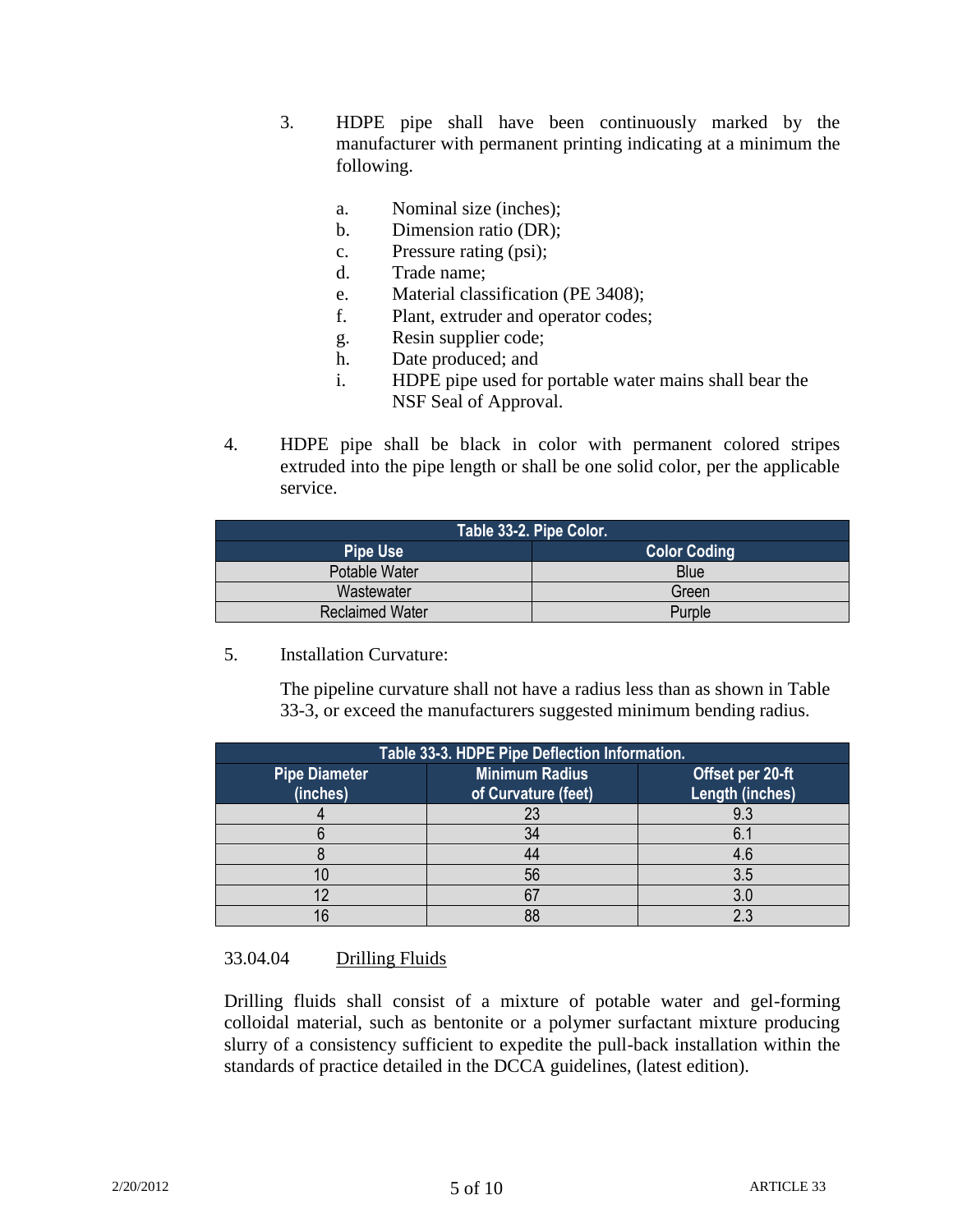- 3. HDPE pipe shall have been continuously marked by the manufacturer with permanent printing indicating at a minimum the following.
	- a. Nominal size (inches);
	- b. Dimension ratio (DR);
	- c. Pressure rating (psi);
	- d. Trade name;
	- e. Material classification (PE 3408);
	- f. Plant, extruder and operator codes;
	- g. Resin supplier code;
	- h. Date produced; and
	- i. HDPE pipe used for portable water mains shall bear the NSF Seal of Approval.
- 4. HDPE pipe shall be black in color with permanent colored stripes extruded into the pipe length or shall be one solid color, per the applicable service.

| Table 33-2. Pipe Color. |                     |  |  |  |  |  |
|-------------------------|---------------------|--|--|--|--|--|
| <b>Pipe Use</b>         | <b>Color Coding</b> |  |  |  |  |  |
| Potable Water           | <b>Blue</b>         |  |  |  |  |  |
| Wastewater              | Green               |  |  |  |  |  |
| <b>Reclaimed Water</b>  | Purple              |  |  |  |  |  |

# 5. Installation Curvature:

The pipeline curvature shall not have a radius less than as shown in Table 33-3, or exceed the manufacturers suggested minimum bending radius.

| Table 33-3. HDPE Pipe Deflection Information. |                                              |                                     |  |  |  |  |
|-----------------------------------------------|----------------------------------------------|-------------------------------------|--|--|--|--|
| <b>Pipe Diameter</b><br>(inches)              | <b>Minimum Radius</b><br>of Curvature (feet) | Offset per 20-ft<br>Length (inches) |  |  |  |  |
|                                               |                                              | 9.3                                 |  |  |  |  |
|                                               |                                              | 6.1                                 |  |  |  |  |
|                                               |                                              | 4 ճ                                 |  |  |  |  |
|                                               | 56                                           | 3.5                                 |  |  |  |  |
|                                               |                                              |                                     |  |  |  |  |
|                                               |                                              | n                                   |  |  |  |  |

# 33.04.04 Drilling Fluids

Drilling fluids shall consist of a mixture of potable water and gel-forming colloidal material, such as bentonite or a polymer surfactant mixture producing slurry of a consistency sufficient to expedite the pull-back installation within the standards of practice detailed in the DCCA guidelines, (latest edition).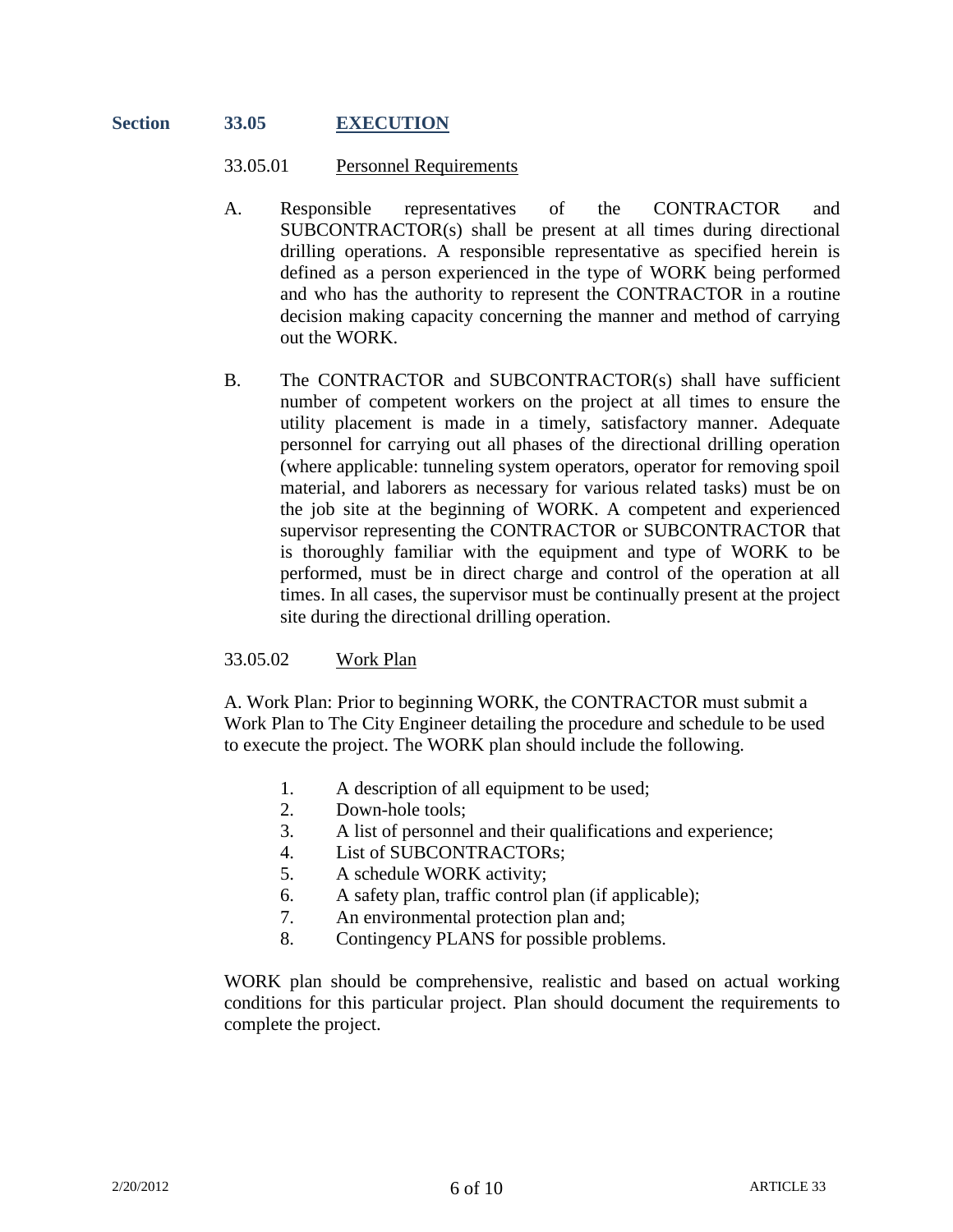#### **Section 33.05 EXECUTION**

#### 33.05.01 Personnel Requirements

- A. Responsible representatives of the CONTRACTOR and SUBCONTRACTOR(s) shall be present at all times during directional drilling operations. A responsible representative as specified herein is defined as a person experienced in the type of WORK being performed and who has the authority to represent the CONTRACTOR in a routine decision making capacity concerning the manner and method of carrying out the WORK.
- B. The CONTRACTOR and SUBCONTRACTOR(s) shall have sufficient number of competent workers on the project at all times to ensure the utility placement is made in a timely, satisfactory manner. Adequate personnel for carrying out all phases of the directional drilling operation (where applicable: tunneling system operators, operator for removing spoil material, and laborers as necessary for various related tasks) must be on the job site at the beginning of WORK. A competent and experienced supervisor representing the CONTRACTOR or SUBCONTRACTOR that is thoroughly familiar with the equipment and type of WORK to be performed, must be in direct charge and control of the operation at all times. In all cases, the supervisor must be continually present at the project site during the directional drilling operation.

## 33.05.02 Work Plan

A. Work Plan: Prior to beginning WORK, the CONTRACTOR must submit a Work Plan to The City Engineer detailing the procedure and schedule to be used to execute the project. The WORK plan should include the following.

- 1. A description of all equipment to be used;
- 2. Down-hole tools;
- 3. A list of personnel and their qualifications and experience;
- 4. List of SUBCONTRACTORs;
- 5. A schedule WORK activity;
- 6. A safety plan, traffic control plan (if applicable);
- 7. An environmental protection plan and;
- 8. Contingency PLANS for possible problems.

WORK plan should be comprehensive, realistic and based on actual working conditions for this particular project. Plan should document the requirements to complete the project.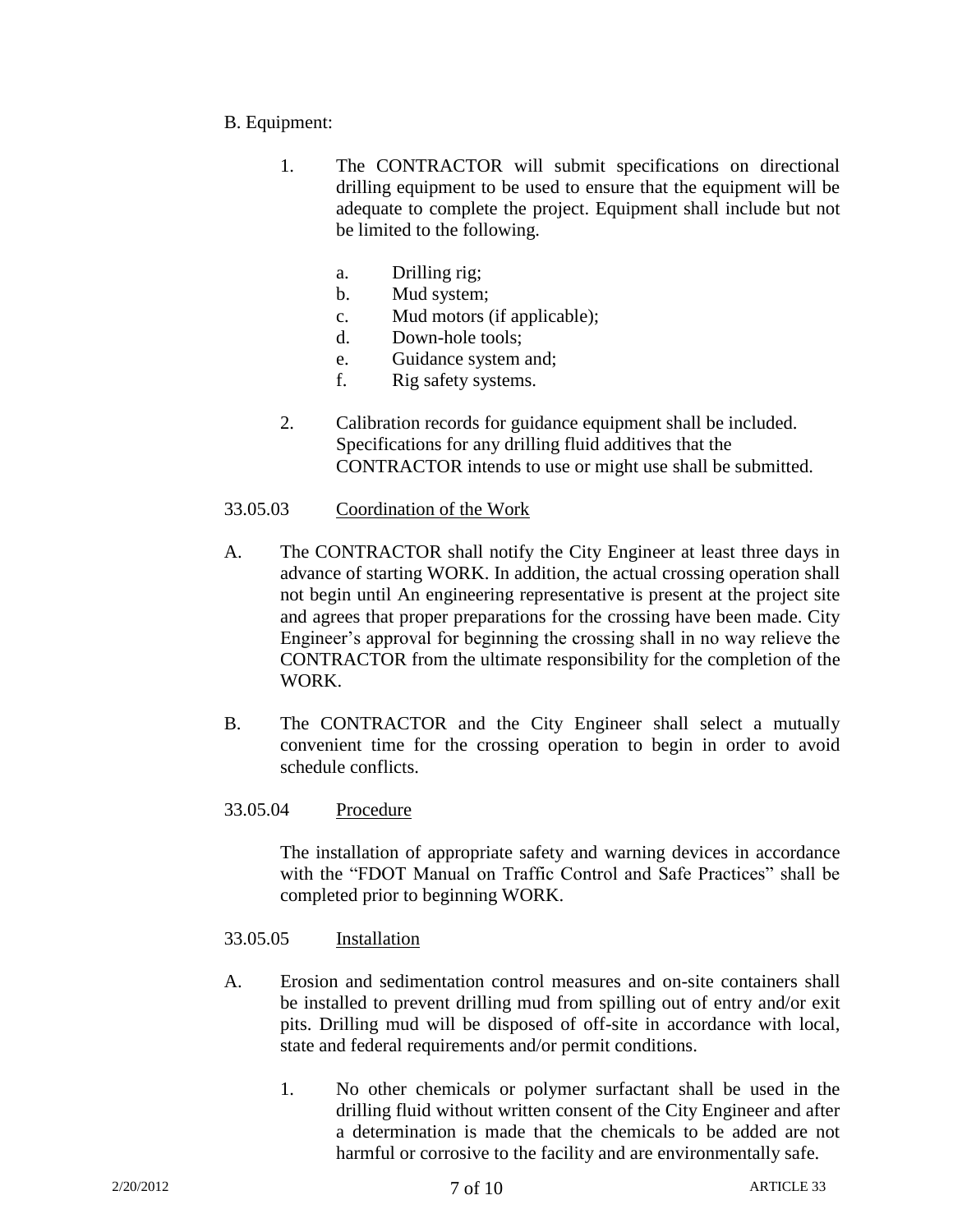- B. Equipment:
	- 1. The CONTRACTOR will submit specifications on directional drilling equipment to be used to ensure that the equipment will be adequate to complete the project. Equipment shall include but not be limited to the following.
		- a. Drilling rig;
		- b. Mud system;
		- c. Mud motors (if applicable);
		- d. Down-hole tools;
		- e. Guidance system and;
		- f. Rig safety systems.
	- 2. Calibration records for guidance equipment shall be included. Specifications for any drilling fluid additives that the CONTRACTOR intends to use or might use shall be submitted.
- 33.05.03 Coordination of the Work
- A. The CONTRACTOR shall notify the City Engineer at least three days in advance of starting WORK. In addition, the actual crossing operation shall not begin until An engineering representative is present at the project site and agrees that proper preparations for the crossing have been made. City Engineer's approval for beginning the crossing shall in no way relieve the CONTRACTOR from the ultimate responsibility for the completion of the WORK.
- B. The CONTRACTOR and the City Engineer shall select a mutually convenient time for the crossing operation to begin in order to avoid schedule conflicts.
- 33.05.04 Procedure

The installation of appropriate safety and warning devices in accordance with the "FDOT Manual on Traffic Control and Safe Practices" shall be completed prior to beginning WORK.

- 33.05.05 Installation
- A. Erosion and sedimentation control measures and on-site containers shall be installed to prevent drilling mud from spilling out of entry and/or exit pits. Drilling mud will be disposed of off-site in accordance with local, state and federal requirements and/or permit conditions.
	- 1. No other chemicals or polymer surfactant shall be used in the drilling fluid without written consent of the City Engineer and after a determination is made that the chemicals to be added are not harmful or corrosive to the facility and are environmentally safe.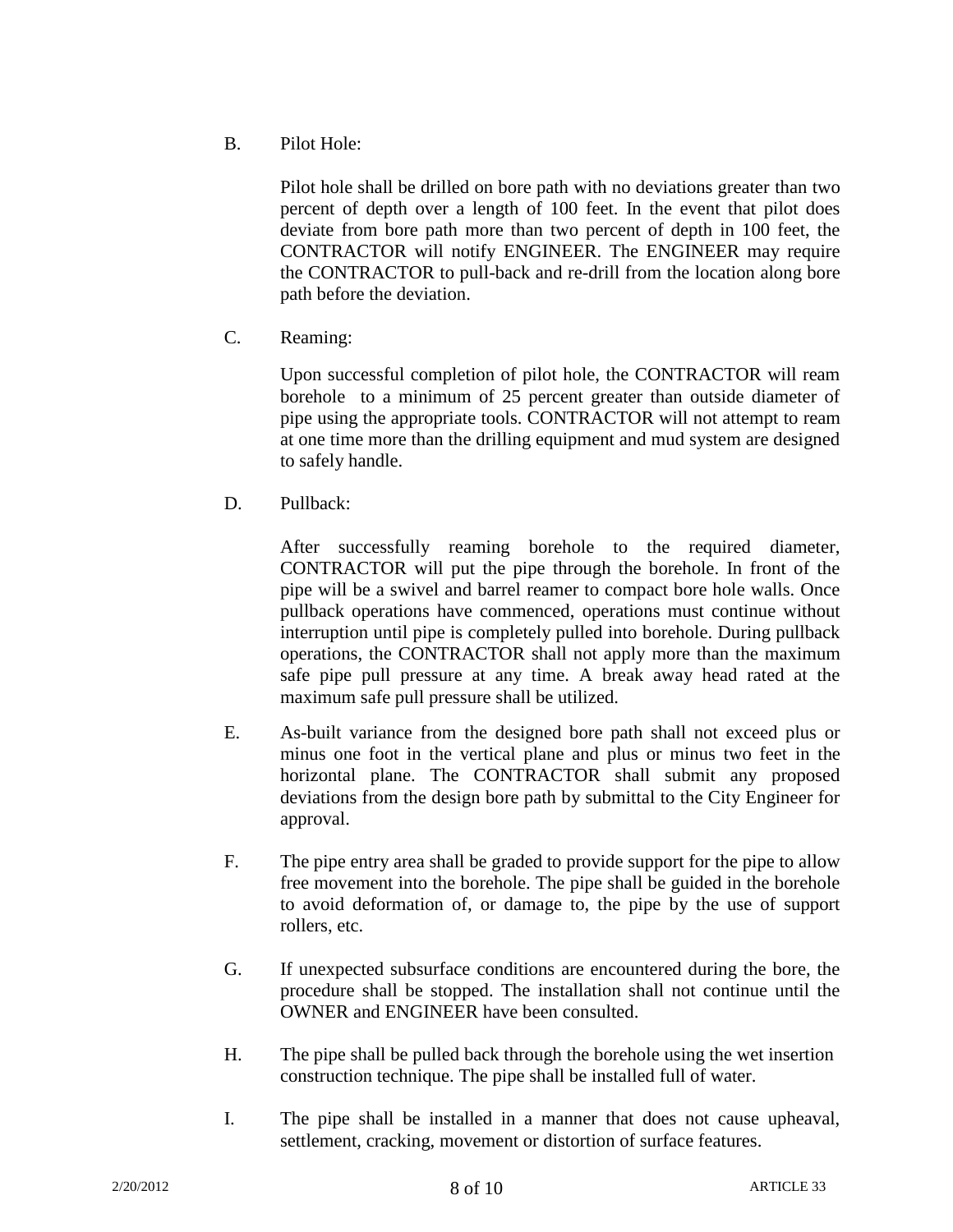B. Pilot Hole:

Pilot hole shall be drilled on bore path with no deviations greater than two percent of depth over a length of 100 feet. In the event that pilot does deviate from bore path more than two percent of depth in 100 feet, the CONTRACTOR will notify ENGINEER. The ENGINEER may require the CONTRACTOR to pull-back and re-drill from the location along bore path before the deviation.

C. Reaming:

Upon successful completion of pilot hole, the CONTRACTOR will ream borehole to a minimum of 25 percent greater than outside diameter of pipe using the appropriate tools. CONTRACTOR will not attempt to ream at one time more than the drilling equipment and mud system are designed to safely handle.

D. Pullback:

After successfully reaming borehole to the required diameter, CONTRACTOR will put the pipe through the borehole. In front of the pipe will be a swivel and barrel reamer to compact bore hole walls. Once pullback operations have commenced, operations must continue without interruption until pipe is completely pulled into borehole. During pullback operations, the CONTRACTOR shall not apply more than the maximum safe pipe pull pressure at any time. A break away head rated at the maximum safe pull pressure shall be utilized.

- E. As-built variance from the designed bore path shall not exceed plus or minus one foot in the vertical plane and plus or minus two feet in the horizontal plane. The CONTRACTOR shall submit any proposed deviations from the design bore path by submittal to the City Engineer for approval.
- F. The pipe entry area shall be graded to provide support for the pipe to allow free movement into the borehole. The pipe shall be guided in the borehole to avoid deformation of, or damage to, the pipe by the use of support rollers, etc.
- G. If unexpected subsurface conditions are encountered during the bore, the procedure shall be stopped. The installation shall not continue until the OWNER and ENGINEER have been consulted.
- H. The pipe shall be pulled back through the borehole using the wet insertion construction technique. The pipe shall be installed full of water.
- I. The pipe shall be installed in a manner that does not cause upheaval, settlement, cracking, movement or distortion of surface features.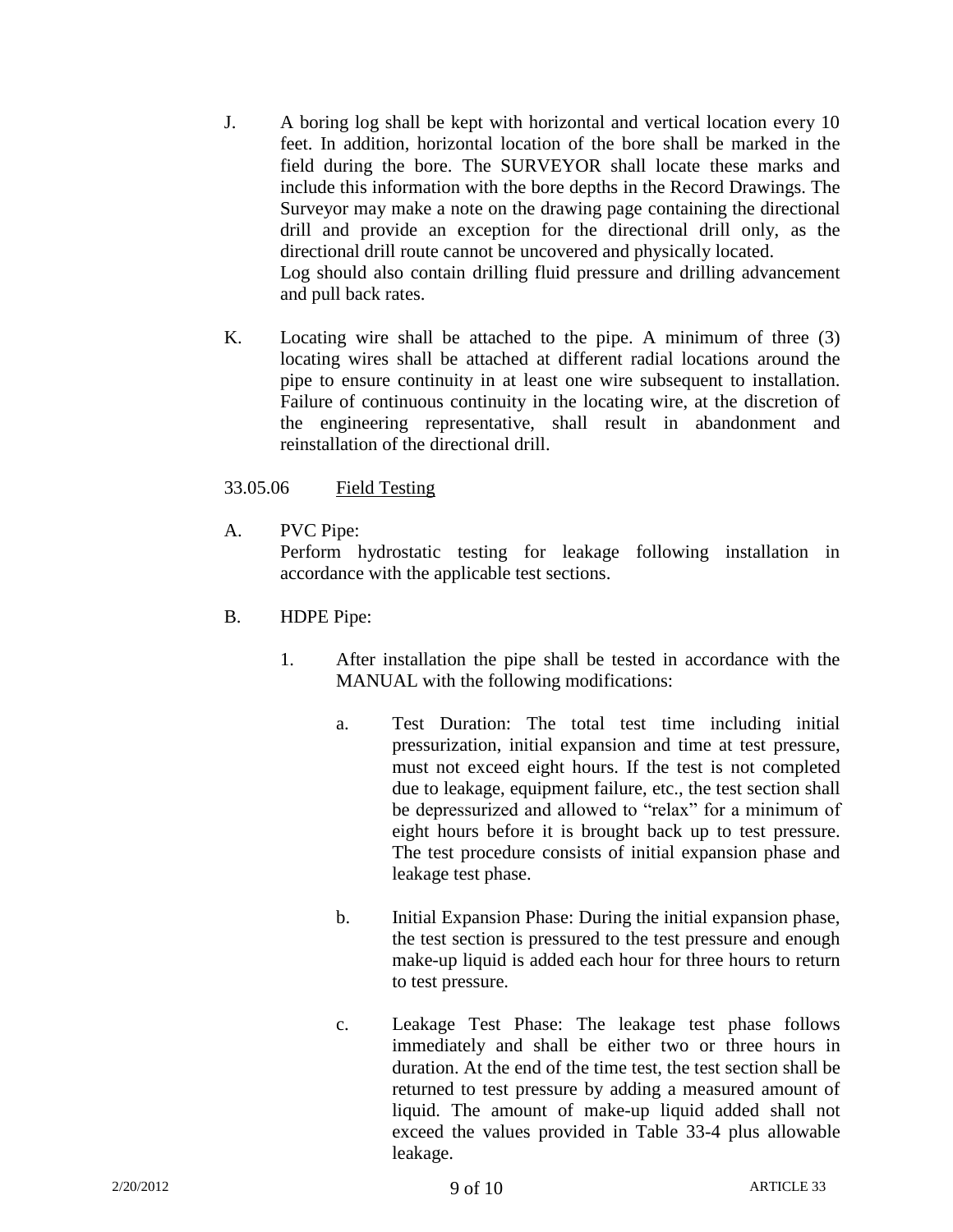- J. A boring log shall be kept with horizontal and vertical location every 10 feet. In addition, horizontal location of the bore shall be marked in the field during the bore. The SURVEYOR shall locate these marks and include this information with the bore depths in the Record Drawings. The Surveyor may make a note on the drawing page containing the directional drill and provide an exception for the directional drill only, as the directional drill route cannot be uncovered and physically located. Log should also contain drilling fluid pressure and drilling advancement and pull back rates.
- K. Locating wire shall be attached to the pipe. A minimum of three (3) locating wires shall be attached at different radial locations around the pipe to ensure continuity in at least one wire subsequent to installation. Failure of continuous continuity in the locating wire, at the discretion of the engineering representative, shall result in abandonment and reinstallation of the directional drill.

# 33.05.06 Field Testing

A. PVC Pipe:

Perform hydrostatic testing for leakage following installation in accordance with the applicable test sections.

- B. HDPE Pipe:
	- 1. After installation the pipe shall be tested in accordance with the MANUAL with the following modifications:
		- a. Test Duration: The total test time including initial pressurization, initial expansion and time at test pressure, must not exceed eight hours. If the test is not completed due to leakage, equipment failure, etc., the test section shall be depressurized and allowed to "relax" for a minimum of eight hours before it is brought back up to test pressure. The test procedure consists of initial expansion phase and leakage test phase.
		- b. Initial Expansion Phase: During the initial expansion phase, the test section is pressured to the test pressure and enough make-up liquid is added each hour for three hours to return to test pressure.
		- c. Leakage Test Phase: The leakage test phase follows immediately and shall be either two or three hours in duration. At the end of the time test, the test section shall be returned to test pressure by adding a measured amount of liquid. The amount of make-up liquid added shall not exceed the values provided in Table 33-4 plus allowable leakage.